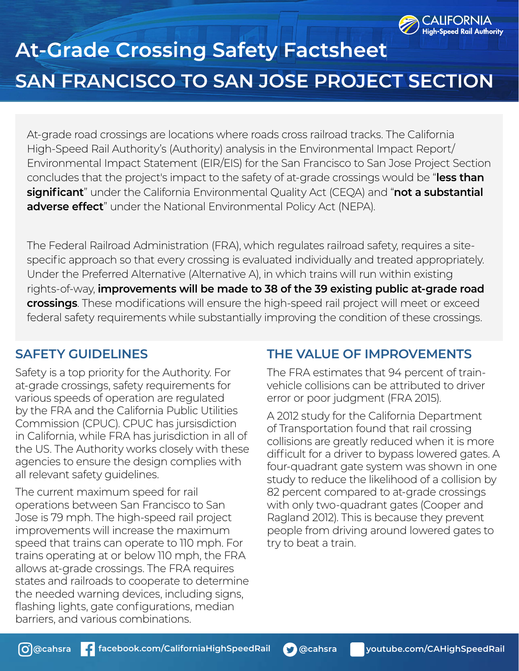

## **At-Grade Crossing Safety Factsheet SAN FRANCISCO TO SAN JOSE PROJECT SECTION**

At-grade road crossings are locations where roads cross railroad tracks. The California High-Speed Rail Authority's (Authority) analysis in the Environmental Impact Report/ Environmental Impact Statement (EIR/EIS) for the San Francisco to San Jose Project Section concludes that the project's impact to the safety of at-grade crossings would be "**less than significant**" under the California Environmental Quality Act (CEQA) and "**not a substantial adverse effect**" under the National Environmental Policy Act (NEPA).

The Federal Railroad Administration (FRA), which regulates railroad safety, requires a sitespecific approach so that every crossing is evaluated individually and treated appropriately. Under the Preferred Alternative (Alternative A), in which trains will run within existing rights-of-way, **improvements will be made to 38 of the 39 existing public at-grade road crossings**. These modifications will ensure the high-speed rail project will meet or exceed federal safety requirements while substantially improving the condition of these crossings.

## **SAFETY GUIDELINES**

Safety is a top priority for the Authority. For at-grade crossings, safety requirements for various speeds of operation are regulated by the FRA and the California Public Utilities Commission (CPUC). CPUC has jursisdiction in California, while FRA has jurisdiction in all of the US. The Authority works closely with these agencies to ensure the design complies with all relevant safety guidelines.

The current maximum speed for rail operations between San Francisco to San Jose is 79 mph. The high-speed rail project improvements will increase the maximum speed that trains can operate to 110 mph. For trains operating at or below 110 mph, the FRA allows at-grade crossings. The FRA requires states and railroads to cooperate to determine the needed warning devices, including signs, flashing lights, gate configurations, median barriers, and various combinations.

## **THE VALUE OF IMPROVEMENTS**

The FRA estimates that 94 percent of trainvehicle collisions can be attributed to driver error or poor judgment (FRA 2015).

A 2012 study for the California Department of Transportation found that rail crossing collisions are greatly reduced when it is more difficult for a driver to bypass lowered gates. A four-quadrant gate system was shown in one study to reduce the likelihood of a collision by 82 percent compared to at-grade crossings with only two-quadrant gates (Cooper and Ragland 2012). This is because they prevent people from driving around lowered gates to try to beat a train.